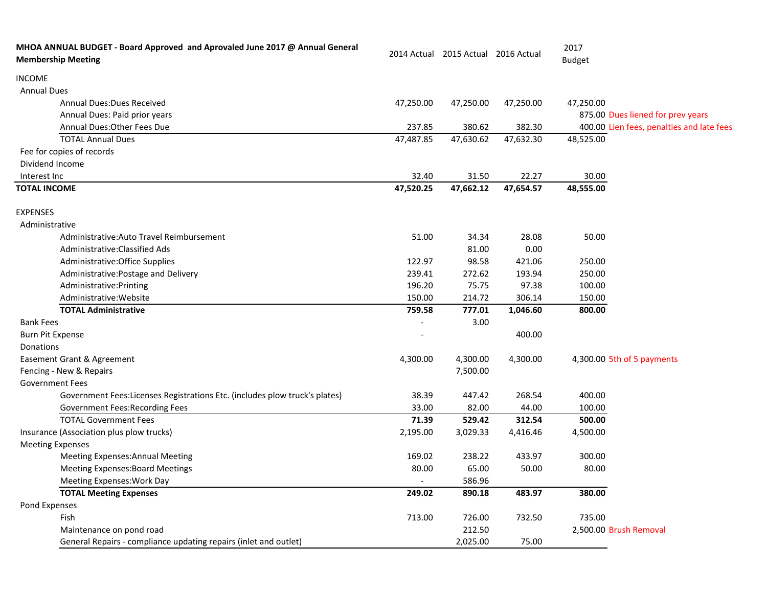| MHOA ANNUAL BUDGET - Board Approved and Aprovaled June 2017 @ Annual General<br><b>Membership Meeting</b> |                          | 2014 Actual 2015 Actual 2016 Actual |           | 2017<br><b>Budget</b>                     |
|-----------------------------------------------------------------------------------------------------------|--------------------------|-------------------------------------|-----------|-------------------------------------------|
| <b>INCOME</b>                                                                                             |                          |                                     |           |                                           |
| <b>Annual Dues</b>                                                                                        |                          |                                     |           |                                           |
| <b>Annual Dues: Dues Received</b>                                                                         | 47,250.00                | 47,250.00                           | 47,250.00 | 47,250.00                                 |
| Annual Dues: Paid prior years                                                                             |                          |                                     |           | 875.00 Dues liened for prev years         |
| Annual Dues: Other Fees Due                                                                               | 237.85                   | 380.62                              | 382.30    | 400.00 Lien fees, penalties and late fees |
| <b>TOTAL Annual Dues</b>                                                                                  | 47,487.85                | 47,630.62                           | 47,632.30 | 48,525.00                                 |
| Fee for copies of records                                                                                 |                          |                                     |           |                                           |
| Dividend Income                                                                                           |                          |                                     |           |                                           |
| Interest Inc                                                                                              | 32.40                    | 31.50                               | 22.27     | 30.00                                     |
| <b>TOTAL INCOME</b>                                                                                       | 47,520.25                | 47,662.12                           | 47,654.57 | 48,555.00                                 |
| <b>EXPENSES</b>                                                                                           |                          |                                     |           |                                           |
| Administrative                                                                                            |                          |                                     |           |                                           |
| Administrative: Auto Travel Reimbursement                                                                 | 51.00                    | 34.34                               | 28.08     | 50.00                                     |
| Administrative: Classified Ads                                                                            |                          | 81.00                               | 0.00      |                                           |
| Administrative: Office Supplies                                                                           | 122.97                   | 98.58                               | 421.06    | 250.00                                    |
| Administrative: Postage and Delivery                                                                      | 239.41                   | 272.62                              | 193.94    | 250.00                                    |
| Administrative: Printing                                                                                  | 196.20                   | 75.75                               | 97.38     | 100.00                                    |
| Administrative: Website                                                                                   | 150.00                   | 214.72                              | 306.14    | 150.00                                    |
| <b>TOTAL Administrative</b>                                                                               | 759.58                   | 777.01                              | 1,046.60  | 800.00                                    |
| <b>Bank Fees</b>                                                                                          |                          | 3.00                                |           |                                           |
| <b>Burn Pit Expense</b>                                                                                   |                          |                                     | 400.00    |                                           |
| Donations                                                                                                 |                          |                                     |           |                                           |
| Easement Grant & Agreement                                                                                | 4,300.00                 | 4,300.00                            | 4,300.00  | 4,300.00 5th of 5 payments                |
| Fencing - New & Repairs                                                                                   |                          | 7,500.00                            |           |                                           |
| <b>Government Fees</b>                                                                                    |                          |                                     |           |                                           |
| Government Fees: Licenses Registrations Etc. (includes plow truck's plates)                               | 38.39                    | 447.42                              | 268.54    | 400.00                                    |
| Government Fees: Recording Fees                                                                           | 33.00                    | 82.00                               | 44.00     | 100.00                                    |
| <b>TOTAL Government Fees</b>                                                                              | 71.39                    | 529.42                              | 312.54    | 500.00                                    |
| Insurance (Association plus plow trucks)                                                                  | 2,195.00                 | 3,029.33                            | 4,416.46  | 4,500.00                                  |
| <b>Meeting Expenses</b>                                                                                   |                          |                                     |           |                                           |
| <b>Meeting Expenses: Annual Meeting</b>                                                                   | 169.02                   | 238.22                              | 433.97    | 300.00                                    |
| <b>Meeting Expenses: Board Meetings</b>                                                                   | 80.00                    | 65.00                               | 50.00     | 80.00                                     |
| Meeting Expenses: Work Day                                                                                | $\overline{\phantom{a}}$ | 586.96                              |           |                                           |
| <b>TOTAL Meeting Expenses</b>                                                                             | 249.02                   | 890.18                              | 483.97    | 380.00                                    |
| Pond Expenses                                                                                             |                          |                                     |           |                                           |
| Fish                                                                                                      | 713.00                   | 726.00                              | 732.50    | 735.00                                    |
| Maintenance on pond road                                                                                  |                          | 212.50                              |           | 2,500.00 Brush Removal                    |
| General Repairs - compliance updating repairs (inlet and outlet)                                          |                          | 2,025.00                            | 75.00     |                                           |